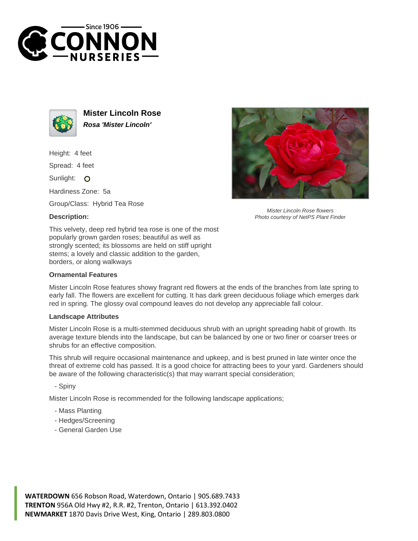



**Mister Lincoln Rose Rosa 'Mister Lincoln'**

Height: 4 feet

Spread: 4 feet

Sunlight: O

Hardiness Zone: 5a

Group/Class: Hybrid Tea Rose

## **Description:**



Mister Lincoln Rose flowers Photo courtesy of NetPS Plant Finder

This velvety, deep red hybrid tea rose is one of the most popularly grown garden roses; beautiful as well as strongly scented; its blossoms are held on stiff upright stems; a lovely and classic addition to the garden, borders, or along walkways

## **Ornamental Features**

Mister Lincoln Rose features showy fragrant red flowers at the ends of the branches from late spring to early fall. The flowers are excellent for cutting. It has dark green deciduous foliage which emerges dark red in spring. The glossy oval compound leaves do not develop any appreciable fall colour.

## **Landscape Attributes**

Mister Lincoln Rose is a multi-stemmed deciduous shrub with an upright spreading habit of growth. Its average texture blends into the landscape, but can be balanced by one or two finer or coarser trees or shrubs for an effective composition.

This shrub will require occasional maintenance and upkeep, and is best pruned in late winter once the threat of extreme cold has passed. It is a good choice for attracting bees to your yard. Gardeners should be aware of the following characteristic(s) that may warrant special consideration;

- Spiny

Mister Lincoln Rose is recommended for the following landscape applications;

- Mass Planting
- Hedges/Screening
- General Garden Use

**WATERDOWN** 656 Robson Road, Waterdown, Ontario | 905.689.7433 **TRENTON** 956A Old Hwy #2, R.R. #2, Trenton, Ontario | 613.392.0402 **NEWMARKET** 1870 Davis Drive West, King, Ontario | 289.803.0800